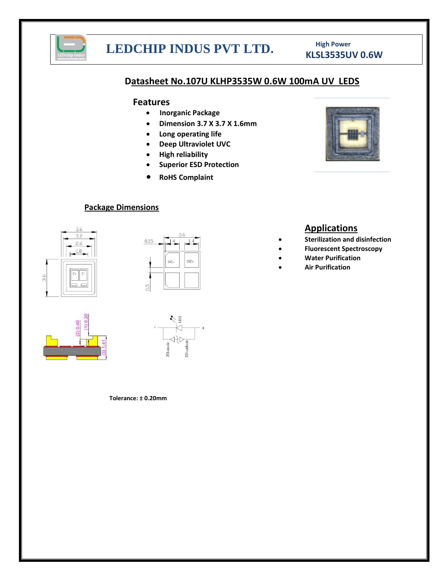

## **KLSL3535UV 0.6W LEDCHIP INDUS PVT LTD. RLSL3535UV 0.6W**

# **High Power**

### **Datasheet No.107U KLHP3535W 0.6W 100mA UV LEDS**

### **Features**

- **Inorganic Package**
- **Dimension 3.7 X 3.7 X 1.6mm**
- **Long operating life**
- **Deep Ultraviolet UVC**
- **High reliability**
- **Superior ESD Protection**
- **RoHS Complaint**

### **Package Dimensions**







### **Tolerance: ± 0.20mm**



## **Applications**

- **Sterilization and disinfection**
- **Fluorescent Spectroscopy**
- **Water Purification**
- **Air Purification**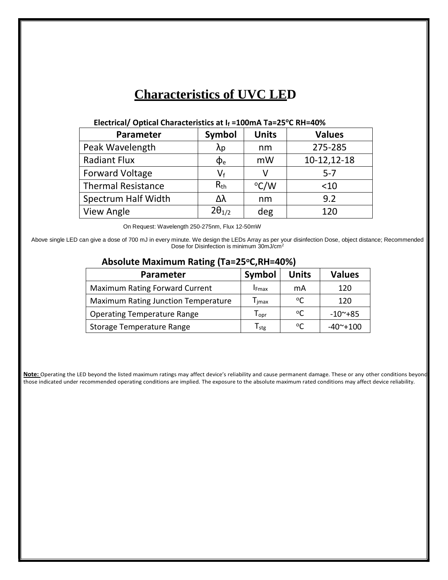## **Characteristics of UVC LED**

| Parameter                 | Symbol                    | <b>Units</b> | <b>Values</b> |  |
|---------------------------|---------------------------|--------------|---------------|--|
| Peak Wavelength           | λp                        | nm           | 275-285       |  |
| <b>Radiant Flux</b>       | $\Phi_{\rm e}$            | mW           | $10-12,12-18$ |  |
| <b>Forward Voltage</b>    | $\mathsf{V}_{\mathsf{f}}$ |              | $5 - 7$       |  |
| <b>Thermal Resistance</b> | $R_{\rm th}$              | °C/W         | $<$ 10        |  |
| Spectrum Half Width       | Δλ                        | nm           | 9.2           |  |
| View Angle                | $2\theta_{1/2}$           | deg          | 120           |  |

### **Electrical/ Optical Characteristics at I<sup>f</sup> =100mA Ta=25<sup>o</sup>C RH=40%**

On Request: Wavelength 250-275nm, Flux 12-50mW

Above single LED can give a dose of 700 mJ in every minute. We design the LEDs Array as per your disinfection Dose, object distance; Recommended Dose for Disinfection is minimum 30mJ/cm<sup>2</sup>

### **Absolute Maximum Rating (Ta=25oC,RH=40%)**

| <b>Parameter</b>                           | Symbol                            | <b>Units</b> | <b>Values</b>    |  |  |
|--------------------------------------------|-----------------------------------|--------------|------------------|--|--|
| <b>Maximum Rating Forward Current</b>      | <b>IF</b> max                     | mA           | 120              |  |  |
| <b>Maximum Rating Junction Temperature</b> | $\mathsf{\Gamma}_{\mathsf{imax}}$ | $^{\circ}$ C | 120              |  |  |
| <b>Operating Temperature Range</b>         | $\mathsf{T}_{\mathsf{opr}}$       | $^{\circ}$ C | $-10^{\sim}+85$  |  |  |
| Storage Temperature Range                  | ${\mathsf T}_{\text{stg}}$        | $^{\circ}$   | $-40^\sim + 100$ |  |  |

**Note:** Operating the LED beyond the listed maximum ratings may affect device's reliability and cause permanent damage. These or any other conditions beyond those indicated under recommended operating conditions are implied. The exposure to the absolute maximum rated conditions may affect device reliability.